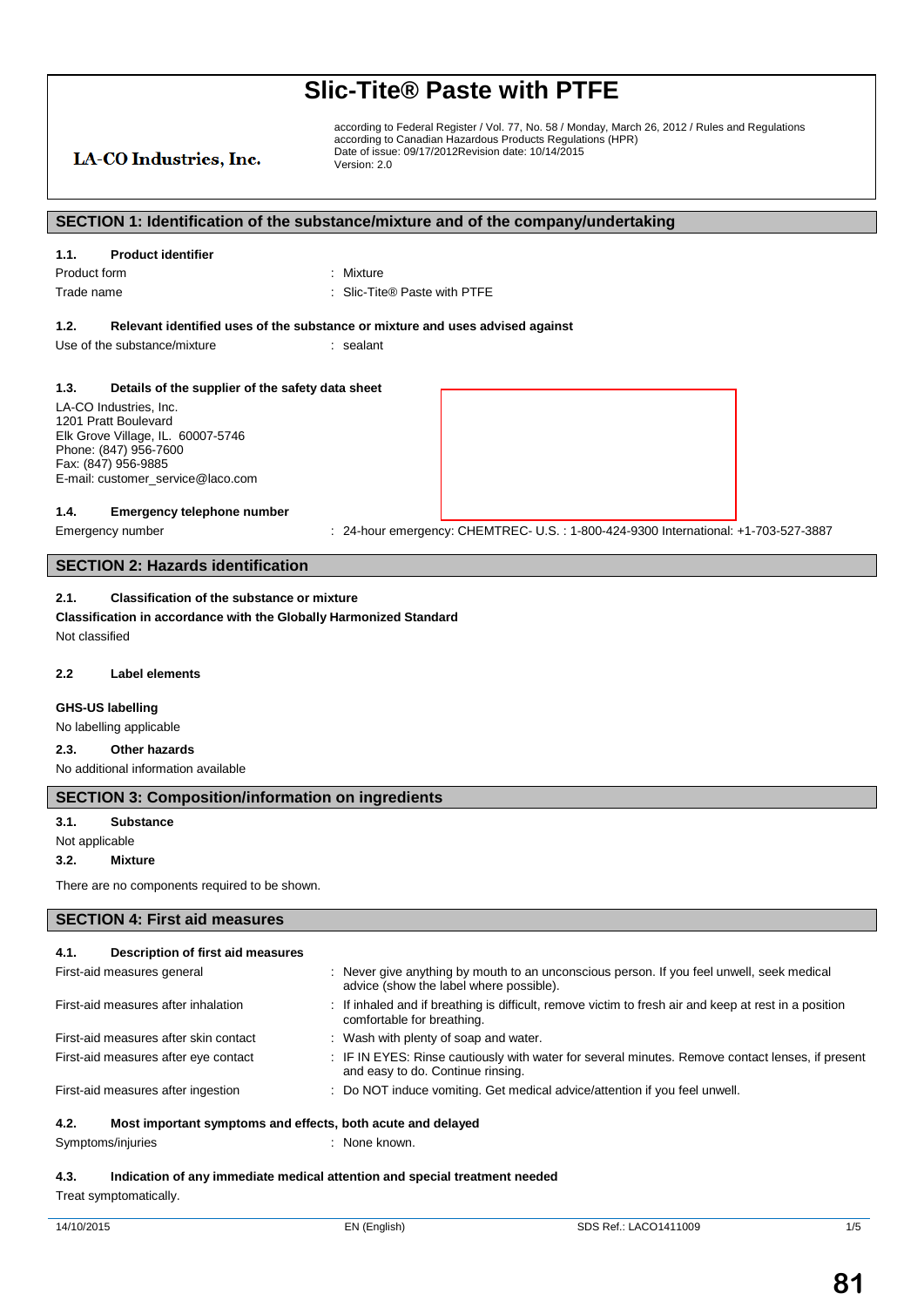## LA-CO Industries, Inc.

according to Federal Register / Vol. 77, No. 58 / Monday, March 26, 2012 / Rules and Regulations according to Canadian Hazardous Products Regulations (HPR) Date of issue: 09/17/2012Revision date: 10/14/2015 Version: 2.0

#### **SECTION 1: Identification of the substance/mixture and of the company/undertaking**

#### **1.1. Product identifier**

Product form : Nixture Trade name  $\qquad \qquad : \qquad$  Slic-Tite® Paste with PTFE

#### **1.2. Relevant identified uses of the substance or mixture and uses advised against**

Use of the substance/mixture in the sealant

#### **1.3. Details of the supplier of the safety data sheet**

LA-CO Industries, Inc. 1201 Pratt Boulevard Elk Grove Village, IL. 60007-5746 Phone: (847) 956-7600 Fax: (847) 956-9885 E-mail: customer\_service@laco.com

#### **1.4. Emergency telephone number**

Emergency number : 24-hour emergency: CHEMTREC- U.S.: 1-800-424-9300 International: +1-703-527-3887

#### **SECTION 2: Hazards identification**

#### **2.1. Classification of the substance or mixture**

**Classification in accordance with the Globally Harmonized Standard** Not classified

#### **2.2 Label elements**

### **GHS-US labelling**

No labelling applicable

### **2.3. Other hazards**

No additional information available

#### **SECTION 3: Composition/information on ingredients**

#### **3.1. Substance**

#### Not applicable

**3.2. Mixture**

There are no components required to be shown.

#### **SECTION 4: First aid measures**

### **4.1. Description of first aid measures**

| First-aid measures general            | Never give anything by mouth to an unconscious person. If you feel unwell, seek medical<br>advice (show the label where possible).    |
|---------------------------------------|---------------------------------------------------------------------------------------------------------------------------------------|
| First-aid measures after inhalation   | If inhaled and if breathing is difficult, remove victim to fresh air and keep at rest in a position<br>comfortable for breathing.     |
| First-aid measures after skin contact | : Wash with plenty of soap and water.                                                                                                 |
| First-aid measures after eye contact  | : IF IN EYES: Rinse cautiously with water for several minutes. Remove contact lenses, if present<br>and easy to do. Continue rinsing. |
| First-aid measures after ingestion    | : Do NOT induce vomiting. Get medical advice/attention if you feel unwell.                                                            |
| 4.2.                                  | Most important symptoms and effects, both acute and delayed                                                                           |
|                                       |                                                                                                                                       |

Symptoms/injuries : None known.

#### **4.3. Indication of any immediate medical attention and special treatment needed** Treat symptomatically.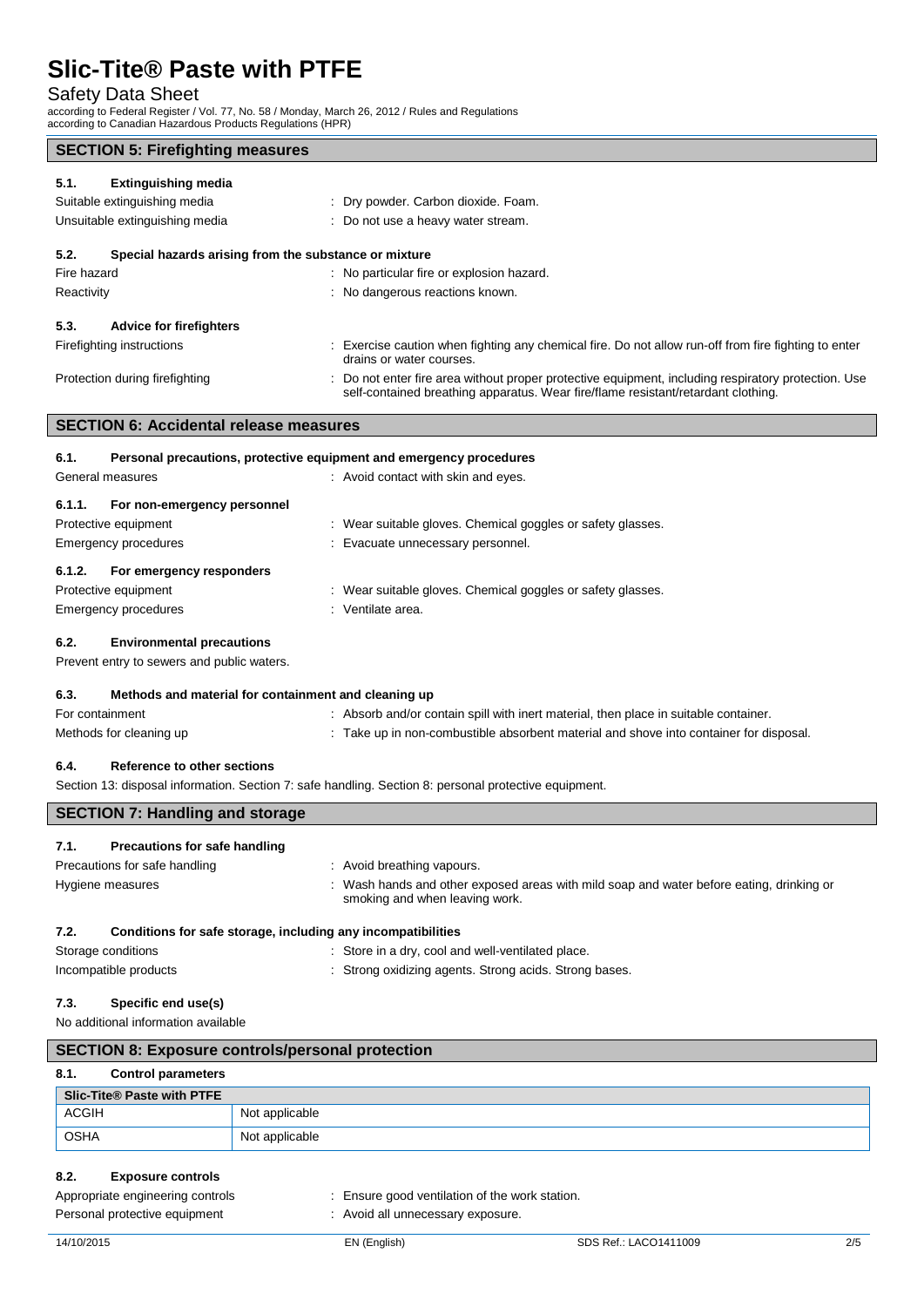## Safety Data Sheet

according to Federal Register / Vol. 77, No. 58 / Monday, March 26, 2012 / Rules and Regulations according to Canadian Hazardous Products Regulations (HPR)

| <b>SECTION 5: Firefighting measures</b> |  |
|-----------------------------------------|--|
|-----------------------------------------|--|

| 5.1.<br><b>Extinguishing media</b>                            |                                                                                                                                                                                          |  |
|---------------------------------------------------------------|------------------------------------------------------------------------------------------------------------------------------------------------------------------------------------------|--|
| Suitable extinguishing media                                  | : Dry powder. Carbon dioxide. Foam.                                                                                                                                                      |  |
| Unsuitable extinguishing media                                | : Do not use a heavy water stream.                                                                                                                                                       |  |
| 5.2.<br>Special hazards arising from the substance or mixture |                                                                                                                                                                                          |  |
| Fire hazard                                                   | No particular fire or explosion hazard.                                                                                                                                                  |  |
| Reactivity                                                    | : No dangerous reactions known.                                                                                                                                                          |  |
| 5.3.<br><b>Advice for firefighters</b>                        |                                                                                                                                                                                          |  |
| Firefighting instructions                                     | Exercise caution when fighting any chemical fire. Do not allow run-off from fire fighting to enter<br>drains or water courses.                                                           |  |
| Protection during firefighting                                | : Do not enter fire area without proper protective equipment, including respiratory protection. Use<br>self-contained breathing apparatus. Wear fire/flame resistant/retardant clothing. |  |
| <b>SECTION 6: Accidental release measures</b>                 |                                                                                                                                                                                          |  |

| 6.1.   | Personal precautions, protective equipment and emergency procedures |  |                                                             |
|--------|---------------------------------------------------------------------|--|-------------------------------------------------------------|
|        | General measures                                                    |  | : Avoid contact with skin and eyes.                         |
| 6.1.1. | For non-emergency personnel                                         |  |                                                             |
|        | Protective equipment                                                |  | : Wear suitable gloves. Chemical goggles or safety glasses. |
|        | Emergency procedures                                                |  | : Evacuate unnecessary personnel.                           |
| 6.1.2. | For emergency responders                                            |  |                                                             |
|        | Protective equipment                                                |  | : Wear suitable gloves. Chemical goggles or safety glasses. |
|        | Emergency procedures                                                |  | : Ventilate area.                                           |
|        |                                                                     |  |                                                             |

### **6.2. Environmental precautions**

Prevent entry to sewers and public waters.

| 6.3.            | Methods and material for containment and cleaning up |  |                                                                                      |
|-----------------|------------------------------------------------------|--|--------------------------------------------------------------------------------------|
| For containment |                                                      |  | Absorb and/or contain spill with inert material, then place in suitable container.   |
|                 | Methods for cleaning up                              |  | Take up in non-combustible absorbent material and shove into container for disposal. |

#### **6.4. Reference to other sections**

Section 13: disposal information. Section 7: safe handling. Section 8: personal protective equipment.

| <b>SECTION 7: Handling and storage</b>                                          |                                                                                                                            |  |
|---------------------------------------------------------------------------------|----------------------------------------------------------------------------------------------------------------------------|--|
| Precautions for safe handling<br>7.1.                                           |                                                                                                                            |  |
| Precautions for safe handling                                                   | : Avoid breathing vapours.                                                                                                 |  |
| Hygiene measures                                                                | : Wash hands and other exposed areas with mild soap and water before eating, drinking or<br>smoking and when leaving work. |  |
| Conditions for safe storage, including any incompatibilities<br>7.2.            |                                                                                                                            |  |
| Storage conditions                                                              | : Store in a dry, cool and well-ventilated place.                                                                          |  |
| : Strong oxidizing agents. Strong acids. Strong bases.<br>Incompatible products |                                                                                                                            |  |

#### **7.3. Specific end use(s)**

No additional information available

| <b>SECTION 8: Exposure controls/personal protection</b> |                            |                |  |
|---------------------------------------------------------|----------------------------|----------------|--|
| 8.1.                                                    | <b>Control parameters</b>  |                |  |
|                                                         | Slic-Tite® Paste with PTFE |                |  |
| ACGIH                                                   |                            | Not applicable |  |
| <b>OSHA</b>                                             |                            | Not applicable |  |

#### **8.2. Exposure controls**

Appropriate engineering controls : Ensure good ventilation of the work station.

- Personal protective equipment : Avoid all unnecessary exposure.
	-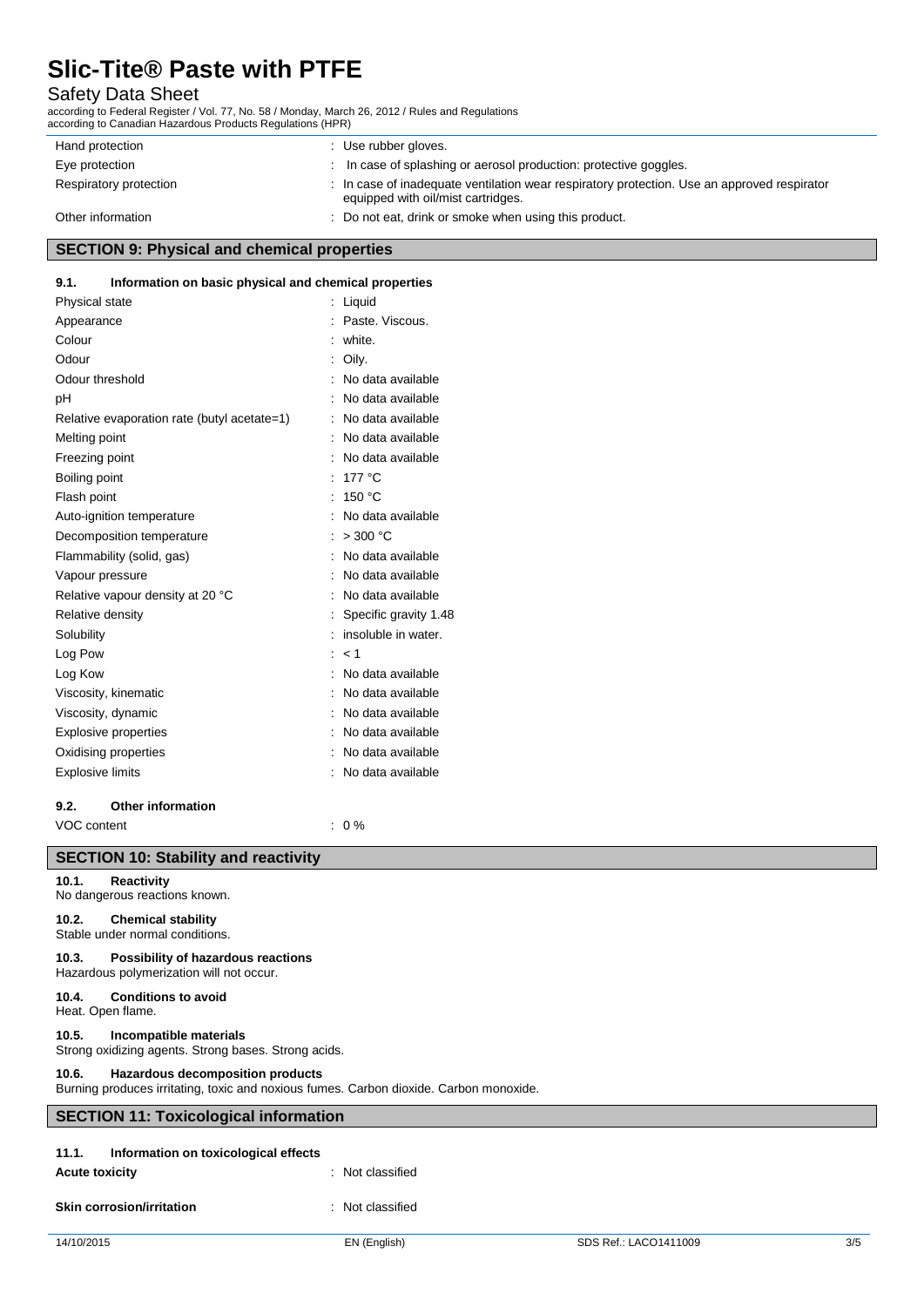# Safety Data Sheet

according to Federal Register / Vol. 77, No. 58 / Monday, March 26, 2012 / Rules and Regulations according to Canadian Hazardous Products Regulations (HPR)

| Hand protection        | : Use rubber gloves.                                                                                                              |
|------------------------|-----------------------------------------------------------------------------------------------------------------------------------|
| Eye protection         | In case of splashing or aerosol production: protective goggles.                                                                   |
| Respiratory protection | : In case of inadequate ventilation wear respiratory protection. Use an approved respirator<br>equipped with oil/mist cartridges. |
| Other information      | : Do not eat, drink or smoke when using this product.                                                                             |

## **SECTION 9: Physical and chemical properties**

#### **9.1. Information on basic physical and chemical properties**

| Physical state                              | Liquid                |
|---------------------------------------------|-----------------------|
| Appearance                                  | Paste, Viscous.       |
| Colour                                      | white.                |
| Odour                                       | Oily.                 |
| Odour threshold                             | No data available     |
| рH                                          | No data available     |
| Relative evaporation rate (butyl acetate=1) | No data available     |
| Melting point                               | No data available     |
| Freezing point                              | No data available     |
| Boiling point                               | 177 °C                |
| Flash point                                 | 150 °C                |
| Auto-ignition temperature                   | No data available     |
| Decomposition temperature                   | $>$ 300 °C            |
| Flammability (solid, gas)                   | No data available     |
| Vapour pressure                             | No data available     |
| Relative vapour density at 20 °C            | No data available     |
| Relative density                            | Specific gravity 1.48 |
| Solubility                                  | insoluble in water.   |
| Log Pow                                     | < 1                   |
| Log Kow                                     | No data available     |
| Viscosity, kinematic                        | No data available     |
| Viscosity, dynamic                          | No data available     |
| Explosive properties                        | No data available     |
| Oxidising properties                        | No data available     |
| <b>Explosive limits</b>                     | No data available     |
|                                             |                       |

### **9.2. Other information**

**SECTION 10: Stability and reactivity**

VOC content  $\qquad \qquad : 0\%$ 

| SECTION TO: Stability and reactivity                                                                                                |                  |  |  |
|-------------------------------------------------------------------------------------------------------------------------------------|------------------|--|--|
| <b>Reactivity</b><br>10.1.<br>No dangerous reactions known.                                                                         |                  |  |  |
| <b>Chemical stability</b><br>10.2.<br>Stable under normal conditions.                                                               |                  |  |  |
| Possibility of hazardous reactions<br>10.3.<br>Hazardous polymerization will not occur.                                             |                  |  |  |
| <b>Conditions to avoid</b><br>10.4.<br>Heat. Open flame.                                                                            |                  |  |  |
| Incompatible materials<br>10.5.<br>Strong oxidizing agents. Strong bases. Strong acids.                                             |                  |  |  |
| Hazardous decomposition products<br>10.6.<br>Burning produces irritating, toxic and noxious fumes. Carbon dioxide. Carbon monoxide. |                  |  |  |
| <b>SECTION 11: Toxicological information</b>                                                                                        |                  |  |  |
| 11.1.<br>Information on toxicological effects<br><b>Acute toxicity</b>                                                              | : Not classified |  |  |
| <b>Skin corrosion/irritation</b>                                                                                                    | Not classified   |  |  |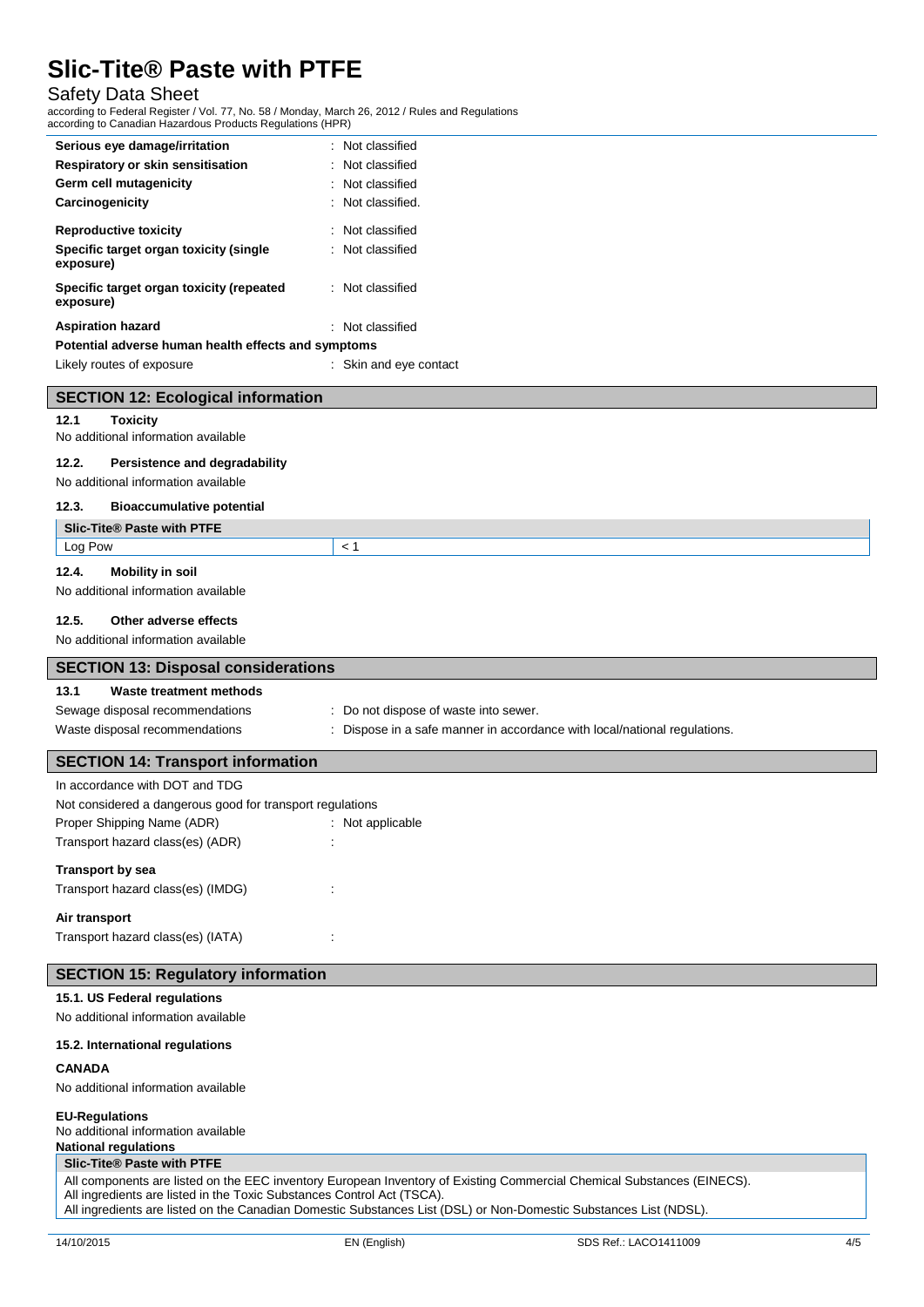## Safety Data Sheet

according to Federal Register / Vol. 77, No. 58 / Monday, March 26, 2012 / Rules and Regulations according to Canadian Hazardous Products Regulations (HPR)

| Serious eye damage/irritation                         | : Not classified       |
|-------------------------------------------------------|------------------------|
| Respiratory or skin sensitisation                     | : Not classified       |
| Germ cell mutagenicity                                | Not classified         |
| Carcinogenicity                                       | : Not classified.      |
| <b>Reproductive toxicity</b>                          | : Not classified       |
| Specific target organ toxicity (single<br>exposure)   | : Not classified       |
| Specific target organ toxicity (repeated<br>exposure) | : Not classified       |
| <b>Aspiration hazard</b>                              | : Not classified       |
| Potential adverse human health effects and symptoms   |                        |
| Likely routes of exposure                             | : Skin and eye contact |
| <b>SECTION 12: Ecological information</b>             |                        |
| 12.1<br><b>Toxicity</b>                               |                        |
| No additional information available                   |                        |
| 12.2.<br>Persistence and degradability                |                        |
| No additional information available                   |                        |
| 12.3.<br><b>Bioaccumulative potential</b>             |                        |
| Slic-Tite® Paste with PTFE                            |                        |
| Log Pow                                               | < 1                    |
| <b>Mobility in soil</b><br>12.4.                      |                        |

No additional information available

#### **12.5. Other adverse effects**

No additional information available

| SECTION 13: Disposal considerations      |                                                                         |  |
|------------------------------------------|-------------------------------------------------------------------------|--|
| Waste treatment methods<br>13.1          |                                                                         |  |
| Sewage disposal recommendations          | : Do not dispose of waste into sewer.                                   |  |
| Waste disposal recommendations           | Dispose in a safe manner in accordance with local/national regulations. |  |
|                                          |                                                                         |  |
| <b>SECTION 14: Transport information</b> |                                                                         |  |

| In accordance with DOT and TDG                            |                  |  |
|-----------------------------------------------------------|------------------|--|
| Not considered a dangerous good for transport regulations |                  |  |
| Proper Shipping Name (ADR)                                | : Not applicable |  |
| Transport hazard class(es) (ADR)                          |                  |  |
| Transport by sea                                          |                  |  |
| Transport hazard class(es) (IMDG)                         |                  |  |
| Air transport                                             |                  |  |
| Transport hazard class(es) (IATA)                         |                  |  |

#### **SECTION 15: Regulatory information**

#### **15.1. US Federal regulations**

No additional information available

#### **15.2. International regulations**

#### **CANADA**

No additional information available

#### **EU-Regulations**

No additional information available

# **National regulations**

**Slic-Tite® Paste with PTFE**

All components are listed on the EEC inventory European Inventory of Existing Commercial Chemical Substances (EINECS).

All ingredients are listed in the Toxic Substances Control Act (TSCA). All ingredients are listed on the Canadian Domestic Substances List (DSL) or Non-Domestic Substances List (NDSL).